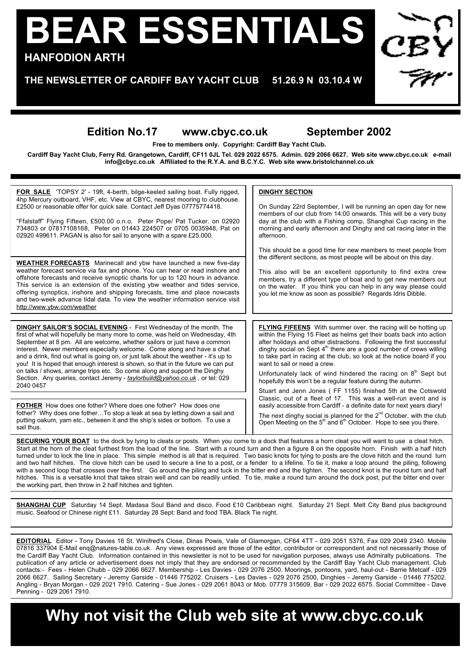## **BEAR ESSENTIALS HANFODION ARTH**

**THE NEWSLETTER OF CARDIFF BAY YACHT CLUB 51.26.9 N 03.10.4 W**

## **Edition No.17 www.cbyc.co.uk September 2002**

**Free to members only. Copyright: Cardiff Bay Yacht Club.**

**Cardiff Bay Yacht Club, Ferry Rd. Grangetown, Cardiff, CF11 0JL Tel. 029 2022 6575. Admin. 029 2066 6627. Web site www.cbyc.co.uk e-mail info@cbyc.co.uk Affiliated to the R.Y.A. and B.C.Y.C. Web site www.bristolchannel.co.uk**

| <b>FOR SALE</b> 'TOPSY 2' - 19ft, 4-berth, bilge-keeled sailing boat. Fully rigged,<br>4hp Mercury outboard, VHF, etc. View at CBYC, nearest mooring to clubhouse.<br>£2500 or reasonable offer for quick sale. Contact Jeff Dyas 07775774418.<br>"Ffalstaff" Flying Fifteen, £500.00 o.n.o. Peter Pope/ Pat Tucker. on 02920<br>734803 or 07817108168. Peter on 01443 224507 or 0705 0035948. Pat on<br>02920 499611. PAGAN is also for sail to anyone with a spare £25.000.                                                                                             | <b>DINGHY SECTION</b><br>On Sunday 22rd September, I will be running an open day for new<br>members of our club from 14:00 onwards. This will be a very busy<br>day at the club with a Fishing comp, Shanghai Cup racing in the<br>morning and early afternoon and Dinghy and cat racing later in the<br>afternoon.<br>This should be a good time for new members to meet people from                                                                                                            |
|---------------------------------------------------------------------------------------------------------------------------------------------------------------------------------------------------------------------------------------------------------------------------------------------------------------------------------------------------------------------------------------------------------------------------------------------------------------------------------------------------------------------------------------------------------------------------|--------------------------------------------------------------------------------------------------------------------------------------------------------------------------------------------------------------------------------------------------------------------------------------------------------------------------------------------------------------------------------------------------------------------------------------------------------------------------------------------------|
| <b>WEATHER FORECASTS</b> Marinecall and ybw have launched a new five-day<br>weather forecast service via fax and phone. You can hear or read inshore and<br>offshore forecasts and receive synoptic charts for up to 120 hours in advance.<br>This service is an extension of the existing ybw weather and tides service,<br>offering synoptics, inshore and shipping forecasts, time and place nowcasts<br>and two-week advance tidal data. To view the weather information service visit<br>http://www.ybw.com/weather                                                  | the different sections, as most people will be about on this day.<br>This also will be an excellent opportunity to find extra crew<br>members, try a different type of boat and to get new members out<br>on the water. If you think you can help in any way please could<br>you let me know as soon as possible? Regards Idris Dibble.                                                                                                                                                          |
|                                                                                                                                                                                                                                                                                                                                                                                                                                                                                                                                                                           |                                                                                                                                                                                                                                                                                                                                                                                                                                                                                                  |
| <b>DINGHY SAILOR'S SOCIAL EVENING - First Wednesday of the month. The</b><br>first of what will hopefully be many more to come, was held on Wednesday, 4th<br>September at 8 pm. All are welcome, whether sailors or just have a common<br>interest. Newer members especially welcome. Come along and have a chat<br>and a drink, find out what is going on, or just talk about the weather - it's up to<br>you! It is hoped that enough interest is shown, so that in the future we can put<br>on talks / shows, arrange trips etc. So come along and support the Dinghy | <b>FLYING FIFEENS</b> With summer over, the racing will be hotting up<br>within the Flying 15 Fleet as helms get their boats back into action<br>after holidays and other distractions. Following the first successful<br>dinghy social on Sept 4 <sup>th</sup> there are a good number of crews willing<br>to take part in racing at the club, so look at the notice board if you<br>want to sail or need a crew.<br>Unfortunately lack of wind hindered the racing on 8 <sup>th</sup> Sept but |
| Section. Any queries, contact Jeremy - taylorbuild@yahoo.co.uk, or tel: 029<br>2040 0457                                                                                                                                                                                                                                                                                                                                                                                                                                                                                  | hopefully this won't be a regular feature during the autumn.                                                                                                                                                                                                                                                                                                                                                                                                                                     |
|                                                                                                                                                                                                                                                                                                                                                                                                                                                                                                                                                                           | Stuart and Jenn Jones (FF 1155) finished 5th at the Cotswold<br>Classic, out of a fleet of 17. This was a well-run event and is                                                                                                                                                                                                                                                                                                                                                                  |
| <b>FOTHER</b> How does one fother? Where does one fother? How does one<br>fother? Why does one fotherTo stop a leak at sea by letting down a sail and                                                                                                                                                                                                                                                                                                                                                                                                                     | easily accessible from Cardiff - a definite date for next years diary!<br>The next dinghy social is planned for the $2^{nd}$ October, with the club                                                                                                                                                                                                                                                                                                                                              |
| putting oakum, yarn etc., between it and the ship's sides or bottom. To use a<br>sail thus.                                                                                                                                                                                                                                                                                                                                                                                                                                                                               | Open Meeting on the 5 <sup>th</sup> and 6 <sup>th</sup> October. Hope to see you there.                                                                                                                                                                                                                                                                                                                                                                                                          |

**SECURING YOUR BOAT** to the dock by tying to cleats or posts. When you come to a dock that features a horn cleat you will want to use a cleat hitch Start at the horn of the cleat furthest from the load of the line. Start with a round turn and then a figure 8 on the opposite horn. Finish with a half hitch turned under to lock the line in place. This simple method is all that is required. Two basic knots for tying to posts are the clove hitch and the round turn and two half hitches. The clove hitch can be used to secure a line to a post, or a fender to a lifeline. To tie it, make a loop around the piling, following with a second loop that crosses over the first. Go around the piling and tuck in the bitter end and the tighten. The second knot is the round turn and half hitches. This is a versatile knot that takes strain well and can be readily untied. To tie, make a round turn around the dock post, put the bitter end over the working part, then throw in 2 half hitches and tighten.

**SHANGHAI CUP** Saturday 14 Sept. Madasa Soul Band and disco. Food £10 Caribbean night. Saturday 21 Sept. Melt City Band plus background music. Seafood or Chinese night £11. Saturday 28 Sept: Band and food TBA. Black Tie night.

**EDITORIAL** Editor - Tony Davies 16 St. Winifred's Close, Dinas Powis, Vale of Glamorgan, CF64 4TT - 029 2051 5376, Fax 029 2049 2340. Mobile 07816 337904 E-Mail enq@natures-table.co.uk. Any views expressed are those of the editor, contributor or correspondent and not necessarily those of the Cardiff Bay Yacht Club. Information contained in this newsletter is not to be used for navigation purposes, always use Admiralty publications. The publication of any article or advertisement does not imply that they are endorsed or recommended by the Cardiff Bay Yacht Club management. Club contacts:- Fees - Helen Chubb - 029 2066 6627. Membership - Les Davies - 029 2076 2500. Moorings, pontoons, yard, haul-out - Barrie Metcalf - 029 2066 6627. Sailing Secretary - Jeremy Garside - 01446 775202. Cruisers - Les Davies - 029 2076 2500, Dinghies - Jeremy Garside - 01446 775202. Angling - Bryan Morgan - 029 2021 7910. Catering - Sue Jones - 029 2061 8043 or Mob. 07779 315609. Bar - 029 2022 6575. Social Committee - Dave Penning - 029 2061 7910.

**Why not visit the Club web site at www.cbyc.co.uk**